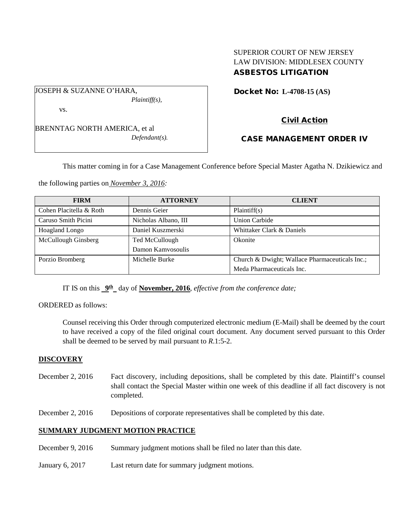## SUPERIOR COURT OF NEW JERSEY LAW DIVISION: MIDDLESEX COUNTY ASBESTOS LITIGATION

Docket No: **L-4708-15 (AS)** 

vs.

BRENNTAG NORTH AMERICA, et al *Defendant(s).*

*Plaintiff(s),*

JOSEPH & SUZANNE O'HARA,

Civil Action

# CASE MANAGEMENT ORDER IV

This matter coming in for a Case Management Conference before Special Master Agatha N. Dzikiewicz and

the following parties on *November 3, 2016:*

| <b>FIRM</b>             | <b>ATTORNEY</b>      | <b>CLIENT</b>                                  |
|-------------------------|----------------------|------------------------------------------------|
| Cohen Placitella & Roth | Dennis Geier         | Plaintiff(s)                                   |
| Caruso Smith Picini     | Nicholas Albano, III | Union Carbide                                  |
| <b>Hoagland Longo</b>   | Daniel Kuszmerski    | Whittaker Clark & Daniels                      |
| McCullough Ginsberg     | Ted McCullough       | Okonite                                        |
|                         | Damon Kamvosoulis    |                                                |
| Porzio Bromberg         | Michelle Burke       | Church & Dwight; Wallace Pharmaceuticals Inc.; |
|                         |                      | Meda Pharmaceuticals Inc.                      |

IT IS on this **9th** day of **November, 2016**, *effective from the conference date;*

ORDERED as follows:

Counsel receiving this Order through computerized electronic medium (E-Mail) shall be deemed by the court to have received a copy of the filed original court document. Any document served pursuant to this Order shall be deemed to be served by mail pursuant to *R*.1:5-2.

## **DISCOVERY**

- December 2, 2016 Fact discovery, including depositions, shall be completed by this date. Plaintiff's counsel shall contact the Special Master within one week of this deadline if all fact discovery is not completed.
- December 2, 2016 Depositions of corporate representatives shall be completed by this date.

# **SUMMARY JUDGMENT MOTION PRACTICE**

- December 9, 2016 Summary judgment motions shall be filed no later than this date.
- January 6, 2017 Last return date for summary judgment motions.